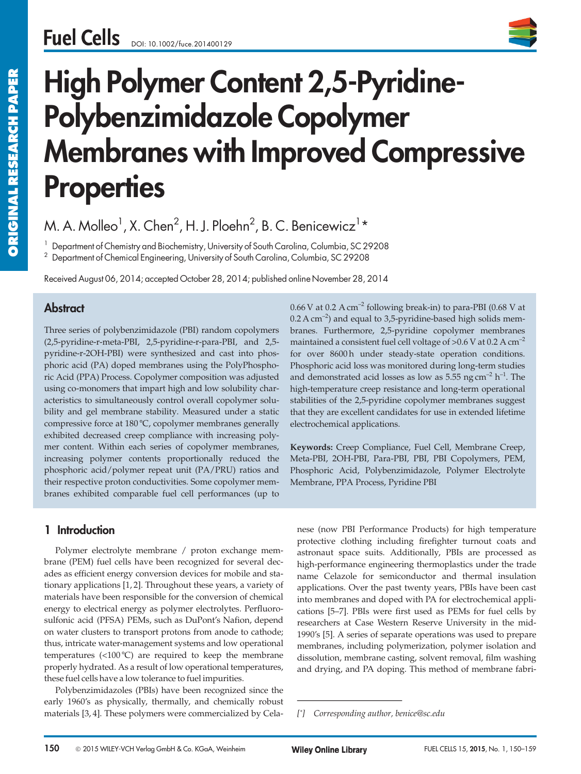

# High Polymer Content 2,5-Pyridine-Polybenzimidazole Copolymer Membranes with Improved Compressive **Properties**

M. A. Molleo $^1$ , X. Chen $^2$ , H. J. Ploehn $^2$ , B. C. Benicewicz $^1\star$ 

<sup>1</sup> Department of Chemistry and Biochemistry, University of South Carolina, Columbia, SC 29208

 $^2$  Department of Chemical Engineering, University of South Carolina, Columbia, SC 29208

Received August 06, 2014; accepted October 28, 2014; published online November 28, 2014

# **Abstract**

Three series of polybenzimidazole (PBI) random copolymers (2,5-pyridine-r-meta-PBI, 2,5-pyridine-r-para-PBI, and 2,5 pyridine-r-2OH-PBI) were synthesized and cast into phosphoric acid (PA) doped membranes using the PolyPhosphoric Acid (PPA) Process. Copolymer composition was adjusted using co-monomers that impart high and low solubility characteristics to simultaneously control overall copolymer solubility and gel membrane stability. Measured under a static compressive force at 180 °C, copolymer membranes generally exhibited decreased creep compliance with increasing polymer content. Within each series of copolymer membranes, increasing polymer contents proportionally reduced the phosphoric acid/polymer repeat unit (PA/PRU) ratios and their respective proton conductivities. Some copolymer membranes exhibited comparable fuel cell performances (up to

# 1 Introduction

Polymer electrolyte membrane / proton exchange membrane (PEM) fuel cells have been recognized for several decades as efficient energy conversion devices for mobile and stationary applications [1, 2]. Throughout these years, a variety of materials have been responsible for the conversion of chemical energy to electrical energy as polymer electrolytes. Perfluorosulfonic acid (PFSA) PEMs, such as DuPont's Nafion, depend on water clusters to transport protons from anode to cathode; thus, intricate water-management systems and low operational temperatures (<100 °C) are required to keep the membrane properly hydrated. As a result of low operational temperatures, these fuel cells have a low tolerance to fuel impurities.

Polybenzimidazoles (PBIs) have been recognized since the early 1960's as physically, thermally, and chemically robust materials [3, 4]. These polymers were commercialized by Cela-

 $0.66$  V at  $0.2$  A cm<sup>-2</sup> following break-in) to para-PBI (0.68 V at  $0.2$  A cm<sup>-2</sup>) and equal to 3,5-pyridine-based high solids membranes. Furthermore, 2,5-pyridine copolymer membranes maintained a consistent fuel cell voltage of  $>0.6$  V at 0.2 A cm<sup>-2</sup> for over 8600 h under steady-state operation conditions. Phosphoric acid loss was monitored during long-term studies and demonstrated acid losses as low as  $5.55$  ng cm<sup>-2</sup> h<sup>-1</sup>. The high-temperature creep resistance and long-term operational stabilities of the 2,5-pyridine copolymer membranes suggest that they are excellent candidates for use in extended lifetime electrochemical applications.

Keywords: Creep Compliance, Fuel Cell, Membrane Creep, Meta-PBI, 2OH-PBI, Para-PBI, PBI, PBI Copolymers, PEM, Phosphoric Acid, Polybenzimidazole, Polymer Electrolyte Membrane, PPA Process, Pyridine PBI

nese (now PBI Performance Products) for high temperature protective clothing including firefighter turnout coats and astronaut space suits. Additionally, PBIs are processed as high-performance engineering thermoplastics under the trade name Celazole for semiconductor and thermal insulation applications. Over the past twenty years, PBIs have been cast into membranes and doped with PA for electrochemical applications [5–7]. PBIs were first used as PEMs for fuel cells by researchers at Case Western Reserve University in the mid-1990's [5]. A series of separate operations was used to prepare membranes, including polymerization, polymer isolation and dissolution, membrane casting, solvent removal, film washing and drying, and PA doping. This method of membrane fabri astronaut space suits. Ad<br>high-performance engineer<br>name Celazole for semic<br>applications. Over the past<br>into membranes and doped<br>cations [5–7]. PBIs were fit<br>researchers at Case Wester<br>1990's [5]. A series of separ<br>membran

<sup>[\*]</sup> Corresponding author, benice@sc.edu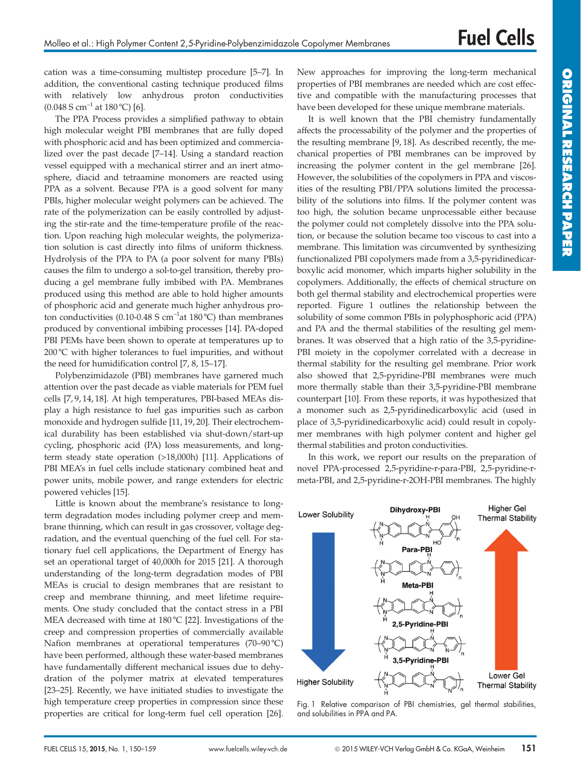cation was a time-consuming multistep procedure [5–7]. In addition, the conventional casting technique produced films with relatively low anhydrous proton conductivities  $(0.048 \text{ S cm}^{-1} \text{ at } 180 \text{ °C})$  [6].

The PPA Process provides a simplified pathway to obtain high molecular weight PBI membranes that are fully doped with phosphoric acid and has been optimized and commercialized over the past decade [7–14]. Using a standard reaction vessel equipped with a mechanical stirrer and an inert atmosphere, diacid and tetraamine monomers are reacted using PPA as a solvent. Because PPA is a good solvent for many PBIs, higher molecular weight polymers can be achieved. The rate of the polymerization can be easily controlled by adjusting the stir-rate and the time-temperature profile of the reaction. Upon reaching high molecular weights, the polymerization solution is cast directly into films of uniform thickness. Hydrolysis of the PPA to PA (a poor solvent for many PBIs) causes the film to undergo a sol-to-gel transition, thereby producing a gel membrane fully imbibed with PA. Membranes produced using this method are able to hold higher amounts of phosphoric acid and generate much higher anhydrous proton conductivities (0.10-0.48 S  $cm^{-1}$ at 180 °C) than membranes produced by conventional imbibing processes [14]. PA-doped PBI PEMs have been shown to operate at temperatures up to 200 °C with higher tolerances to fuel impurities, and without the need for humidification control [7, 8, 15–17].

Polybenzimidazole (PBI) membranes have garnered much attention over the past decade as viable materials for PEM fuel cells [7, 9, 14, 18]. At high temperatures, PBI-based MEAs display a high resistance to fuel gas impurities such as carbon monoxide and hydrogen sulfide [11, 19, 20]. Their electrochemical durability has been established via shut-down/start-up cycling, phosphoric acid (PA) loss measurements, and longterm steady state operation (>18,000h) [11]. Applications of PBI MEA's in fuel cells include stationary combined heat and power units, mobile power, and range extenders for electric powered vehicles [15].

Little is known about the membrane's resistance to longterm degradation modes including polymer creep and membrane thinning, which can result in gas crossover, voltage degradation, and the eventual quenching of the fuel cell. For stationary fuel cell applications, the Department of Energy has set an operational target of 40,000h for 2015 [21]. A thorough understanding of the long-term degradation modes of PBI MEAs is crucial to design membranes that are resistant to creep and membrane thinning, and meet lifetime requirements. One study concluded that the contact stress in a PBI MEA decreased with time at 180 °C [22]. Investigations of the creep and compression properties of commercially available Nafion membranes at operational temperatures (70–90 °C) have been performed, although these water-based membranes have fundamentally different mechanical issues due to dehydration of the polymer matrix at elevated temperatures [23–25]. Recently, we have initiated studies to investigate the high temperature creep properties in compression since these properties are critical for long-term fuel cell operation [26]. New approaches for improving the long-term mechanical properties of PBI membranes are needed which are cost effective and compatible with the manufacturing processes that have been developed for these unique membrane materials.

It is well known that the PBI chemistry fundamentally affects the processability of the polymer and the properties of the resulting membrane [9, 18]. As described recently, the mechanical properties of PBI membranes can be improved by increasing the polymer content in the gel membrane [26]. However, the solubilities of the copolymers in PPA and viscosities of the resulting PBI/PPA solutions limited the processability of the solutions into films. If the polymer content was too high, the solution became unprocessable either because the polymer could not completely dissolve into the PPA solution, or because the solution became too viscous to cast into a membrane. This limitation was circumvented by synthesizing functionalized PBI copolymers made from a 3,5-pyridinedicarboxylic acid monomer, which imparts higher solubility in the copolymers. Additionally, the effects of chemical structure on both gel thermal stability and electrochemical properties were reported. Figure 1 outlines the relationship between the solubility of some common PBIs in polyphosphoric acid (PPA) and PA and the thermal stabilities of the resulting gel membranes. It was observed that a high ratio of the 3,5-pyridine-PBI moiety in the copolymer correlated with a decrease in thermal stability for the resulting gel membrane. Prior work also showed that 2,5-pyridine-PBI membranes were much more thermally stable than their 3,5-pyridine-PBI membrane counterpart [10]. From these reports, it was hypothesized that a monomer such as 2,5-pyridinedicarboxylic acid (used in place of 3,5-pyridinedicarboxylic acid) could result in copolymer membranes with high polymer content and higher gel thermal stabilities and proton conductivities.

In this work, we report our results on the preparation of novel PPA-processed 2,5-pyridine-r-para-PBI, 2,5-pyridine-rmeta-PBI, and 2,5-pyridine-r-2OH-PBI membranes. The highly



Fig. 1 Relative comparison of PBI chemistries, gel thermal stabilities, and solubilities in PPA and PA.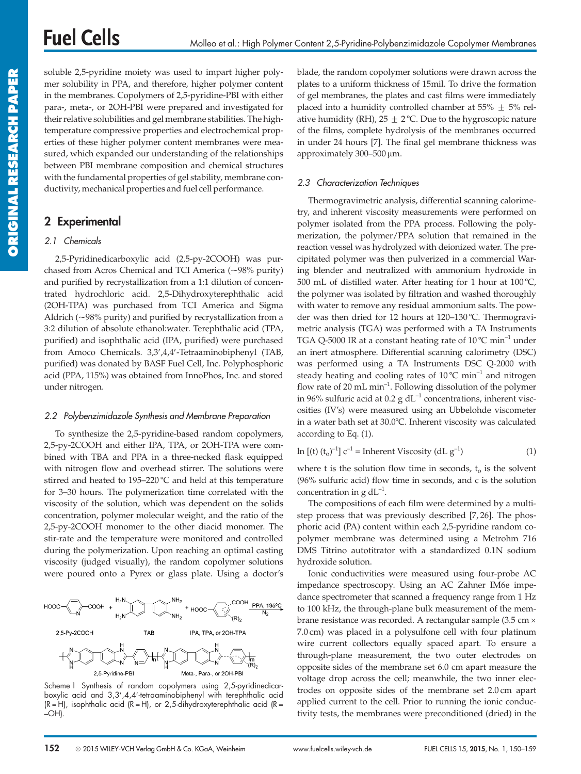soluble 2,5-pyridine moiety was used to impart higher polymer solubility in PPA, and therefore, higher polymer content in the membranes. Copolymers of 2,5-pyridine-PBI with either para-, meta-, or 2OH-PBI were prepared and investigated for their relative solubilities and gel membrane stabilities. The hightemperature compressive properties and electrochemical properties of these higher polymer content membranes were measured, which expanded our understanding of the relationships between PBI membrane composition and chemical structures with the fundamental properties of gel stability, membrane conductivity, mechanical properties and fuel cell performance.

## 2 Experimental

#### 2.1 Chemicals

2,5-Pyridinedicarboxylic acid (2,5-py-2COOH) was purchased from Acros Chemical and TCI America (~98% purity) and purified by recrystallization from a 1:1 dilution of concentrated hydrochloric acid. 2,5-Dihydroxyterephthalic acid (2OH-TPA) was purchased from TCI America and Sigma Aldrich (~98% purity) and purified by recrystallization from a 3:2 dilution of absolute ethanol:water. Terephthalic acid (TPA, purified) and isophthalic acid (IPA, purified) were purchased from Amoco Chemicals. 3,3',4,4'-Tetraaminobiphenyl (TAB, purified) was donated by BASF Fuel Cell, Inc. Polyphosphoric acid (PPA, 115%) was obtained from InnoPhos, Inc. and stored under nitrogen.

#### 2.2 Polybenzimidazole Synthesis and Membrane Preparation

To synthesize the 2,5-pyridine-based random copolymers, 2,5-py-2COOH and either IPA, TPA, or 2OH-TPA were combined with TBA and PPA in a three-necked flask equipped with nitrogen flow and overhead stirrer. The solutions were stirred and heated to 195–220 °C and held at this temperature for 3–30 hours. The polymerization time correlated with the viscosity of the solution, which was dependent on the solids concentration, polymer molecular weight, and the ratio of the 2,5-py-2COOH monomer to the other diacid monomer. The stir-rate and the temperature were monitored and controlled during the polymerization. Upon reaching an optimal casting viscosity (judged visually), the random copolymer solutions were poured onto a Pyrex or glass plate. Using a doctor's



Scheme 1 Synthesis of random copolymers using 2,5-pyridinedicarboxylic acid and 3,3¢,4,4¢-tetraaminobiphenyl with terephthalic acid  $(R = H)$ , isophthalic acid  $(R = H)$ , or 2,5-dihydroxyterephthalic acid  $(R = H)$ –OH).

blade, the random copolymer solutions were drawn across the plates to a uniform thickness of 15mil. To drive the formation of gel membranes, the plates and cast films were immediately placed into a humidity controlled chamber at 55%  $\pm$  5% relative humidity (RH),  $25 \pm 2$  °C. Due to the hygroscopic nature of the films, complete hydrolysis of the membranes occurred in under 24 hours [7]. The final gel membrane thickness was approximately 300-500 µm.

#### 2.3 Characterization Techniques

Thermogravimetric analysis, differential scanning calorimetry, and inherent viscosity measurements were performed on polymer isolated from the PPA process. Following the polymerization, the polymer/PPA solution that remained in the reaction vessel was hydrolyzed with deionized water. The precipitated polymer was then pulverized in a commercial Waring blender and neutralized with ammonium hydroxide in 500 mL of distilled water. After heating for 1 hour at  $100^{\circ}$ C, the polymer was isolated by filtration and washed thoroughly with water to remove any residual ammonium salts. The powder was then dried for 12 hours at 120–130 °C. Thermogravimetric analysis (TGA) was performed with a TA Instruments TGA Q-5000 IR at a constant heating rate of  $10^{\circ}$ C min<sup>-1</sup> under an inert atmosphere. Differential scanning calorimetry (DSC) was performed using a TA Instruments DSC Q-2000 with steady heating and cooling rates of  $10^{\circ}$ C min<sup>-1</sup> and nitrogen flow rate of 20 mL min<sup>-1</sup>. Following dissolution of the polymer in 96% sulfuric acid at 0.2 g  $dL^{-1}$  concentrations, inherent viscosities (IV's) were measured using an Ubbelohde viscometer in a water bath set at 30.0°C. Inherent viscosity was calculated according to Eq. (1).

$$
\ln\left[\left(t\right)\left(t_{o}\right)^{-1}\right]c^{-1} = \text{Inherent Viscosity } (dL g^{-1})\tag{1}
$$

where t is the solution flow time in seconds,  $t_0$  is the solvent (96% sulfuric acid) flow time in seconds, and c is the solution concentration in g  $dL^{-1}$ .

The compositions of each film were determined by a multistep process that was previously described [7, 26]. The phosphoric acid (PA) content within each 2,5-pyridine random copolymer membrane was determined using a Metrohm 716 DMS Titrino autotitrator with a standardized 0.1N sodium hydroxide solution.

Ionic conductivities were measured using four-probe AC impedance spectroscopy. Using an AC Zahner IM6e impedance spectrometer that scanned a frequency range from 1 Hz to 100 kHz, the through-plane bulk measurement of the membrane resistance was recorded. A rectangular sample (3.5 cm · 7.0 cm) was placed in a polysulfone cell with four platinum wire current collectors equally spaced apart. To ensure a through-plane measurement, the two outer electrodes on opposite sides of the membrane set 6.0 cm apart measure the voltage drop across the cell; meanwhile, the two inner electrodes on opposite sides of the membrane set 2.0 cm apart applied current to the cell. Prior to running the ionic conductivity tests, the membranes were preconditioned (dried) in the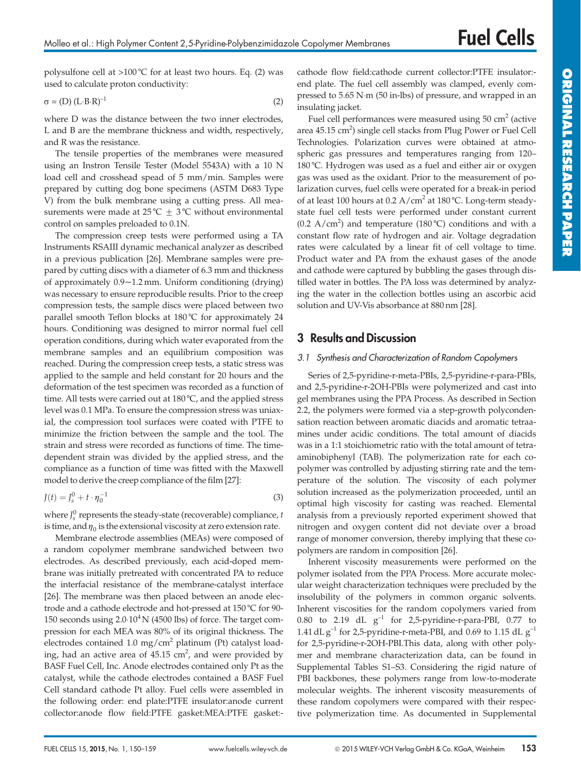polysulfone cell at >100 °C for at least two hours. Eq. (2) was used to calculate proton conductivity:

$$
\sigma = (D) (L \cdot B \cdot R)^{-1}
$$
 (2)

where D was the distance between the two inner electrodes, L and B are the membrane thickness and width, respectively, and R was the resistance.

The tensile properties of the membranes were measured using an Instron Tensile Tester (Model 5543A) with a 10 N load cell and crosshead spead of 5 mm/min. Samples were prepared by cutting dog bone specimens (ASTM D683 Type V) from the bulk membrane using a cutting press. All measurements were made at 25 °C  $\pm$  3 °C without environmental control on samples preloaded to 0.1N.

The compression creep tests were performed using a TA Instruments RSAIII dynamic mechanical analyzer as described in a previous publication [26]. Membrane samples were prepared by cutting discs with a diameter of 6.3 mm and thickness of approximately 0.9~1.2 mm. Uniform conditioning (drying) was necessary to ensure reproducible results. Prior to the creep compression tests, the sample discs were placed between two parallel smooth Teflon blocks at 180°C for approximately 24 hours. Conditioning was designed to mirror normal fuel cell operation conditions, during which water evaporated from the membrane samples and an equilibrium composition was reached. During the compression creep tests, a static stress was applied to the sample and held constant for 20 hours and the deformation of the test specimen was recorded as a function of time. All tests were carried out at  $180^{\circ}$ C, and the applied stress level was 0.1 MPa. To ensure the compression stress was uniaxial, the compression tool surfaces were coated with PTFE to minimize the friction between the sample and the tool. The strain and stress were recorded as functions of time. The timedependent strain was divided by the applied stress, and the compliance as a function of time was fitted with the Maxwell model to derive the creep compliance of the film [27]:

$$
J(t) = J_s^0 + t \cdot \eta_0^{-1}
$$
 (3)

where  $J_s^0$  represents the steady-state (recoverable) compliance, t is time, and  $\eta_0$  is the extensional viscosity at zero extension rate.

Membrane electrode assemblies (MEAs) were composed of a random copolymer membrane sandwiched between two electrodes. As described previously, each acid-doped membrane was initially pretreated with concentrated PA to reduce the interfacial resistance of the membrane-catalyst interface [26]. The membrane was then placed between an anode electrode and a cathode electrode and hot-pressed at  $150\textdegree C$  for  $90$ -150 seconds using  $2.0 \cdot 10^4$  N (4500 lbs) of force. The target compression for each MEA was 80% of its original thickness. The electrodes contained 1.0 mg/cm<sup>2</sup> platinum (Pt) catalyst loading, had an active area of  $45.15 \text{ cm}^2$ , and were provided by BASF Fuel Cell, Inc. Anode electrodes contained only Pt as the catalyst, while the cathode electrodes contained a BASF Fuel Cell standard cathode Pt alloy. Fuel cells were assembled in the following order: end plate:PTFE insulator:anode current collector:anode flow field:PTFE gasket:MEA:PTFE gasket:- cathode flow field:cathode current collector:PTFE insulator: end plate. The fuel cell assembly was clamped, evenly compressed to 5.65 N-m (50 in-lbs) of pressure, and wrapped in an insulating jacket.

Fuel cell performances were measured using  $50 \text{ cm}^2$  (active area 45.15 cm<sup>2</sup>) single cell stacks from Plug Power or Fuel Cell Technologies. Polarization curves were obtained at atmospheric gas pressures and temperatures ranging from 120– 180 °C. Hydrogen was used as a fuel and either air or oxygen gas was used as the oxidant. Prior to the measurement of polarization curves, fuel cells were operated for a break-in period of at least 100 hours at  $0.2 \text{ A/cm}^2$  at 180 °C. Long-term steadystate fuel cell tests were performed under constant current  $(0.2 \text{ A/cm}^2)$  and temperature  $(180 \degree C)$  conditions and with a constant flow rate of hydrogen and air. Voltage degradation rates were calculated by a linear fit of cell voltage to time. Product water and PA from the exhaust gases of the anode and cathode were captured by bubbling the gases through distilled water in bottles. The PA loss was determined by analyzing the water in the collection bottles using an ascorbic acid solution and UV-Vis absorbance at 880 nm [28].

## 3 Results and Discussion

#### 3.1 Synthesis and Characterization of Random Copolymers

Series of 2,5-pyridine-r-meta-PBIs, 2,5-pyridine-r-para-PBIs, and 2,5-pyridine-r-2OH-PBIs were polymerized and cast into gel membranes using the PPA Process. As described in Section 2.2, the polymers were formed via a step-growth polycondensation reaction between aromatic diacids and aromatic tetraamines under acidic conditions. The total amount of diacids was in a 1:1 stoichiometric ratio with the total amount of tetraaminobiphenyl (TAB). The polymerization rate for each copolymer was controlled by adjusting stirring rate and the temperature of the solution. The viscosity of each polymer solution increased as the polymerization proceeded, until an optimal high viscosity for casting was reached. Elemental analysis from a previously reported experiment showed that nitrogen and oxygen content did not deviate over a broad range of monomer conversion, thereby implying that these copolymers are random in composition [26].

Inherent viscosity measurements were performed on the polymer isolated from the PPA Process. More accurate molecular weight characterization techniques were precluded by the insolubility of the polymers in common organic solvents. Inherent viscosities for the random copolymers varied from 0.80 to 2.19 dL  $g^{-1}$  for 2,5-pyridine-r-para-PBI, 0.77 to 1.41 dL  $g^{-1}$  for 2,5-pyridine-r-meta-PBI, and 0.69 to 1.15 dL  $g^{-1}$ for 2,5-pyridine-r-2OH-PBI.This data, along with other polymer and membrane characterization data, can be found in Supplemental Tables S1–S3. Considering the rigid nature of PBI backbones, these polymers range from low-to-moderate molecular weights. The inherent viscosity measurements of these random copolymers were compared with their respective polymerization time. As documented in Supplemental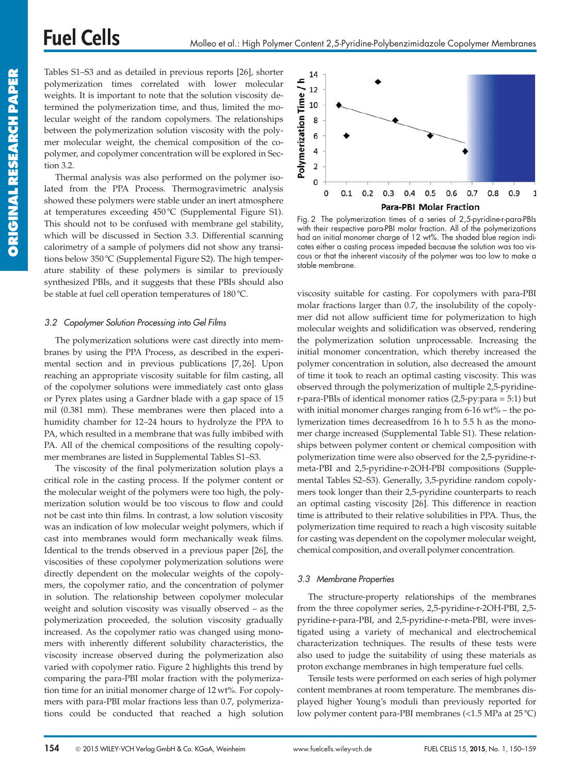# **Fuel Cells**

Tables S1–S3 and as detailed in previous reports [26], shorter polymerization times correlated with lower molecular weights. It is important to note that the solution viscosity determined the polymerization time, and thus, limited the molecular weight of the random copolymers. The relationships between the polymerization solution viscosity with the polymer molecular weight, the chemical composition of the copolymer, and copolymer concentration will be explored in Section 3.2.

Thermal analysis was also performed on the polymer isolated from the PPA Process. Thermogravimetric analysis showed these polymers were stable under an inert atmosphere at temperatures exceeding 450°C (Supplemental Figure S1). This should not to be confused with membrane gel stability, which will be discussed in Section 3.3. Differential scanning calorimetry of a sample of polymers did not show any transitions below 350 °C (Supplemental Figure S2). The high temperature stability of these polymers is similar to previously synthesized PBIs, and it suggests that these PBIs should also be stable at fuel cell operation temperatures of  $180^{\circ}$ C.

#### 3.2 Copolymer Solution Processing into Gel Films

The polymerization solutions were cast directly into membranes by using the PPA Process, as described in the experimental section and in previous publications [7, 26]. Upon reaching an appropriate viscosity suitable for film casting, all of the copolymer solutions were immediately cast onto glass or Pyrex plates using a Gardner blade with a gap space of 15 mil (0.381 mm). These membranes were then placed into a humidity chamber for 12–24 hours to hydrolyze the PPA to PA, which resulted in a membrane that was fully imbibed with PA. All of the chemical compositions of the resulting copolymer membranes are listed in Supplemental Tables S1–S3.

The viscosity of the final polymerization solution plays a critical role in the casting process. If the polymer content or the molecular weight of the polymers were too high, the polymerization solution would be too viscous to flow and could not be cast into thin films. In contrast, a low solution viscosity was an indication of low molecular weight polymers, which if cast into membranes would form mechanically weak films. Identical to the trends observed in a previous paper [26], the viscosities of these copolymer polymerization solutions were directly dependent on the molecular weights of the copolymers, the copolymer ratio, and the concentration of polymer in solution. The relationship between copolymer molecular weight and solution viscosity was visually observed – as the polymerization proceeded, the solution viscosity gradually increased. As the copolymer ratio was changed using monomers with inherently different solubility characteristics, the viscosity increase observed during the polymerization also varied with copolymer ratio. Figure 2 highlights this trend by comparing the para-PBI molar fraction with the polymerization time for an initial monomer charge of 12 wt%. For copolymers with para-PBI molar fractions less than 0.7, polymerizations could be conducted that reached a high solution



Fig. 2 The polymerization times of a series of 2,5-pyridine-r-para-PBIs with their respective para-PBI molar fraction. All of the polymerizations had an initial monomer charge of 12 wt%. The shaded blue region indicates either a casting process impeded because the solution was too viscous or that the inherent viscosity of the polymer was too low to make a stable membrane.

viscosity suitable for casting. For copolymers with para-PBI molar fractions larger than 0.7, the insolubility of the copolymer did not allow sufficient time for polymerization to high molecular weights and solidification was observed, rendering the polymerization solution unprocessable. Increasing the initial monomer concentration, which thereby increased the polymer concentration in solution, also decreased the amount of time it took to reach an optimal casting viscosity. This was observed through the polymerization of multiple 2,5-pyridiner-para-PBIs of identical monomer ratios (2,5-py:para = 5:1) but with initial monomer charges ranging from  $6-16$  wt% – the polymerization times decreasedfrom 16 h to 5.5 h as the monomer charge increased (Supplemental Table S1). These relationships between polymer content or chemical composition with polymerization time were also observed for the 2,5-pyridine-rmeta-PBI and 2,5-pyridine-r-2OH-PBI compositions (Supplemental Tables S2–S3). Generally, 3,5-pyridine random copolymers took longer than their 2,5-pyridine counterparts to reach an optimal casting viscosity [26]. This difference in reaction time is attributed to their relative solubilities in PPA. Thus, the polymerization time required to reach a high viscosity suitable for casting was dependent on the copolymer molecular weight, chemical composition, and overall polymer concentration.

#### 3.3 Membrane Properties

The structure-property relationships of the membranes from the three copolymer series, 2,5-pyridine-r-2OH-PBI, 2,5 pyridine-r-para-PBI, and 2,5-pyridine-r-meta-PBI, were investigated using a variety of mechanical and electrochemical characterization techniques. The results of these tests were also used to judge the suitability of using these materials as proton exchange membranes in high temperature fuel cells.

Tensile tests were performed on each series of high polymer content membranes at room temperature. The membranes displayed higher Young's moduli than previously reported for low polymer content para-PBI membranes (<1.5 MPa at 25 °C)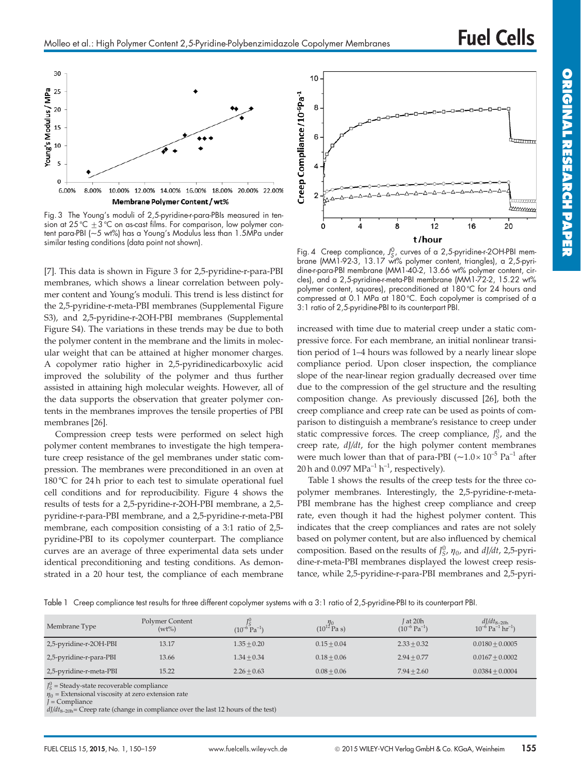

Fig. 3 The Young's moduli of 2,5-pyridine-r-para-PBIs measured in tension at 25 °C  $\pm 3$  °C on as-cast tilms. For comparison, low polymer content para-PBI (~5 wt%) has a Young's Modulus less than 1.5MPa under similar testing conditions (data point not shown).

[7]. This data is shown in Figure 3 for 2,5-pyridine-r-para-PBI membranes, which shows a linear correlation between polymer content and Young's moduli. This trend is less distinct for the 2,5-pyridine-r-meta-PBI membranes (Supplemental Figure S3), and 2,5-pyridine-r-2OH-PBI membranes (Supplemental Figure S4). The variations in these trends may be due to both the polymer content in the membrane and the limits in molecular weight that can be attained at higher monomer charges. A copolymer ratio higher in 2,5-pyridinedicarboxylic acid improved the solubility of the polymer and thus further assisted in attaining high molecular weights. However, all of the data supports the observation that greater polymer contents in the membranes improves the tensile properties of PBI membranes [26].

Compression creep tests were performed on select high polymer content membranes to investigate the high temperature creep resistance of the gel membranes under static compression. The membranes were preconditioned in an oven at 180 °C for 24 h prior to each test to simulate operational fuel cell conditions and for reproducibility. Figure 4 shows the results of tests for a 2,5-pyridine-r-2OH-PBI membrane, a 2,5 pyridine-r-para-PBI membrane, and a 2,5-pyridine-r-meta-PBI membrane, each composition consisting of a 3:1 ratio of 2,5 pyridine-PBI to its copolymer counterpart. The compliance curves are an average of three experimental data sets under identical preconditioning and testing conditions. As demonstrated in a 20 hour test, the compliance of each membrane



Fig. 4 Creep compliance, J<sup>0</sup>, curves of a 2,5-pyridine-r-2OH-PBI mem-<br>brane (MM1-92-3, 13.17 wt% polymer content, triangles), a 2,5-pyridine-r-para-PBI membrane (MM1-40-2, 13.66 wt% polymer content, circles), and a 2,5-pyridine-r-meta-PBI membrane (MM1-72-2, 15.22 wt% polymer content, squares), preconditioned at  $180^{\circ}$ C for 24 hours and compressed at 0.1 MPa at 180°C. Each copolymer is comprised of a 3:1 ratio of 2,5-pyridine-PBI to its counterpart PBI.

increased with time due to material creep under a static compressive force. For each membrane, an initial nonlinear transition period of 1–4 hours was followed by a nearly linear slope compliance period. Upon closer inspection, the compliance slope of the near-linear region gradually decreased over time due to the compression of the gel structure and the resulting composition change. As previously discussed [26], both the creep compliance and creep rate can be used as points of comparison to distinguish a membrane's resistance to creep under static compressive forces. The creep compliance,  $J_S^0$ , and the creep rate,  $d/dt$ , for the high polymer content membranes were much lower than that of para-PBI  $(-1.0 \times 10^{-5} \text{ Pa}^{-1})$  after 20 h and 0.097  $MPa^{-1}h^{-1}$ , respectively).

Table 1 shows the results of the creep tests for the three copolymer membranes. Interestingly, the 2,5-pyridine-r-meta-PBI membrane has the highest creep compliance and creep rate, even though it had the highest polymer content. This indicates that the creep compliances and rates are not solely based on polymer content, but are also influenced by chemical composition. Based on the results of  $J_S^0$ ,  $\eta_0$ , and  $dJ/dt$ , 2,5-pyridine-r-meta-PBI membranes displayed the lowest creep resistance, while 2,5-pyridine-r-para-PBI membranes and 2,5-pyri-

Table 1 Creep compliance test results for three different copolymer systems with a 3:1 ratio of 2,5-pyridine-PBI to its counterpart PBI.

| Membrane Type           | Polymer Content<br>$(wt\%)$ | $(10^{-6} \text{ Pa}^{-1})$ | $(10^{12} \text{Pa s})$ | J at 20h<br>$(10^{-6} \text{ Pa}^{-1})$ | $dJ/dt_{8-20h}$<br>10 <sup>-6</sup> Pa <sup>-1</sup> hr <sup>-1</sup> ) |
|-------------------------|-----------------------------|-----------------------------|-------------------------|-----------------------------------------|-------------------------------------------------------------------------|
| 2,5-pyridine-r-2OH-PBI  | 13.17                       | $1.35 + 0.20$               | $0.15 + 0.04$           | $2.33 + 0.32$                           | $0.0180 + 0.0005$                                                       |
| 2,5-pyridine-r-para-PBI | 13.66                       | $1.34 + 0.34$               | $0.18 + 0.06$           | $2.94 + 0.77$                           | $0.0167 + 0.0002$                                                       |
| 2,5-pyridine-r-meta-PBI | 15.22                       | $2.26 + 0.63$               | $0.08 + 0.06$           | $7.94 + 2.60$                           | $0.0384 + 0.0004$                                                       |

 $J_S^0$  = Steady-state recoverable compliance

 $\eta_0$  = Extensional viscosity at zero extension rate<br>J = Compliance

 $dJ/dt_{8-20h}$  = Creep rate (change in compliance over the last 12 hours of the test)

ORIGINAL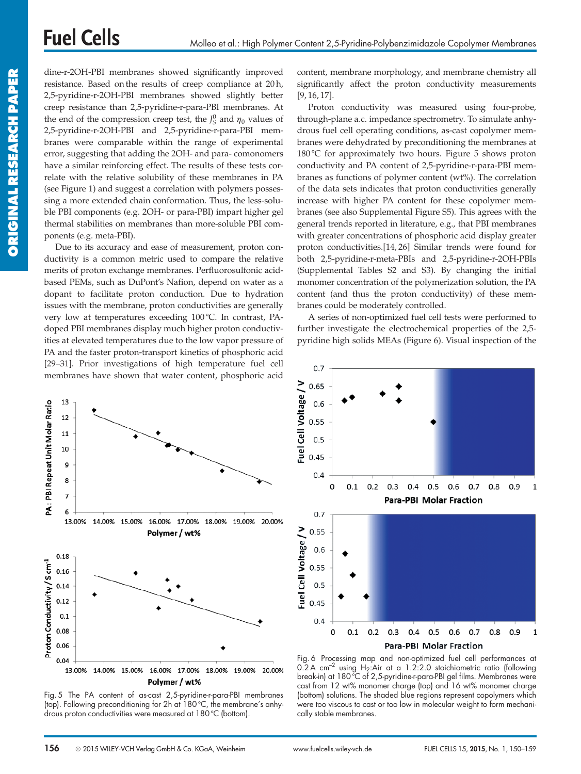dine-r-2OH-PBI membranes showed significantly improved resistance. Based on the results of creep compliance at 20 h, 2,5-pyridine-r-2OH-PBI membranes showed slightly better creep resistance than 2,5-pyridine-r-para-PBI membranes. At the end of the compression creep test, the  $J_S^0$  and  $\eta_0$  values of 2,5-pyridine-r-2OH-PBI and 2,5-pyridine-r-para-PBI membranes were comparable within the range of experimental error, suggesting that adding the 2OH- and para- comonomers have a similar reinforcing effect. The results of these tests correlate with the relative solubility of these membranes in PA (see Figure 1) and suggest a correlation with polymers possessing a more extended chain conformation. Thus, the less-soluble PBI components (e.g. 2OH- or para-PBI) impart higher gel thermal stabilities on membranes than more-soluble PBI components (e.g. meta-PBI).

Due to its accuracy and ease of measurement, proton conductivity is a common metric used to compare the relative merits of proton exchange membranes. Perfluorosulfonic acidbased PEMs, such as DuPont's Nafion, depend on water as a dopant to facilitate proton conduction. Due to hydration issues with the membrane, proton conductivities are generally very low at temperatures exceeding 100°C. In contrast, PAdoped PBI membranes display much higher proton conductivities at elevated temperatures due to the low vapor pressure of PA and the faster proton-transport kinetics of phosphoric acid [29–31]. Prior investigations of high temperature fuel cell membranes have shown that water content, phosphoric acid content, membrane morphology, and membrane chemistry all significantly affect the proton conductivity measurements [9, 16, 17].

Proton conductivity was measured using four-probe, through-plane a.c. impedance spectrometry. To simulate anhydrous fuel cell operating conditions, as-cast copolymer membranes were dehydrated by preconditioning the membranes at 180 °C for approximately two hours. Figure 5 shows proton conductivity and PA content of 2,5-pyridine-r-para-PBI membranes as functions of polymer content (wt%). The correlation of the data sets indicates that proton conductivities generally increase with higher PA content for these copolymer membranes (see also Supplemental Figure S5). This agrees with the general trends reported in literature, e.g., that PBI membranes with greater concentrations of phosphoric acid display greater proton conductivities.[14, 26] Similar trends were found for both 2,5-pyridine-r-meta-PBIs and 2,5-pyridine-r-2OH-PBIs (Supplemental Tables S2 and S3). By changing the initial monomer concentration of the polymerization solution, the PA content (and thus the proton conductivity) of these membranes could be moderately controlled.

A series of non-optimized fuel cell tests were performed to further investigate the electrochemical properties of the 2,5 pyridine high solids MEAs (Figure 6). Visual inspection of the



Fig. 5 The PA content of as-cast 2,5-pyridine-r-para-PBI membranes (top). Following preconditioning for 2h at 180 °C, the membrane's anhydrous proton conductivities were measured at 180 °C (bottom).



Fig. 6 Processing map and non-optimized fuel cell performances at 0.2 A cm<sup>-2</sup> using H<sub>2</sub>:Air at a 1.2:2.0 stoichiometric ratio (following break-in) at 180 °C of 2,5-pyridine-r-para-PBI gel films. Membranes were cast from 12 wt% monomer charge (top) and 16 wt% monomer charge (bottom) solutions. The shaded blue regions represent copolymers which were too viscous to cast or too low in molecular weight to form mechanically stable membranes.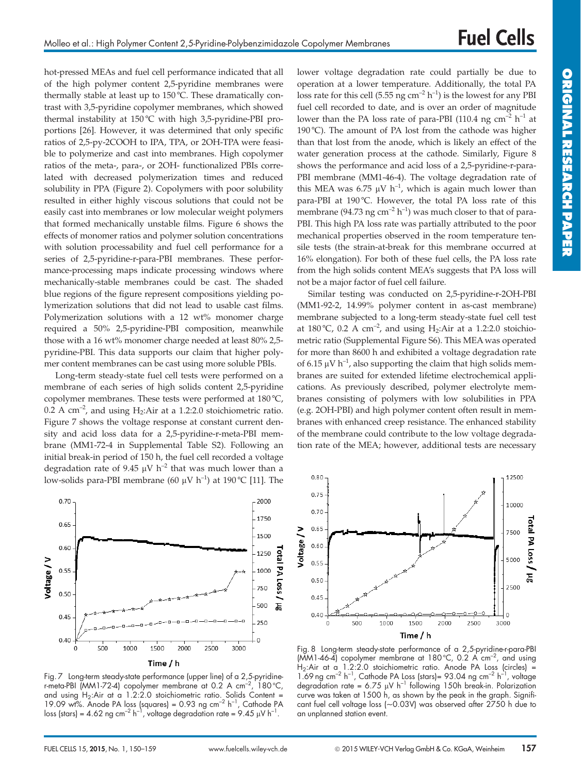hot-pressed MEAs and fuel cell performance indicated that all of the high polymer content 2,5-pyridine membranes were thermally stable at least up to 150 °C. These dramatically contrast with 3,5-pyridine copolymer membranes, which showed thermal instability at 150°C with high 3,5-pyridine-PBI proportions [26]. However, it was determined that only specific ratios of 2,5-py-2COOH to IPA, TPA, or 2OH-TPA were feasible to polymerize and cast into membranes. High copolymer ratios of the meta-, para-, or 2OH- functionalized PBIs correlated with decreased polymerization times and reduced solubility in PPA (Figure 2). Copolymers with poor solubility resulted in either highly viscous solutions that could not be easily cast into membranes or low molecular weight polymers that formed mechanically unstable films. Figure 6 shows the effects of monomer ratios and polymer solution concentrations with solution processability and fuel cell performance for a series of 2,5-pyridine-r-para-PBI membranes. These performance-processing maps indicate processing windows where mechanically-stable membranes could be cast. The shaded blue regions of the figure represent compositions yielding polymerization solutions that did not lead to usable cast films. Polymerization solutions with a 12 wt% monomer charge required a 50% 2,5-pyridine-PBI composition, meanwhile those with a 16 wt% monomer charge needed at least 80% 2,5 pyridine-PBI. This data supports our claim that higher polymer content membranes can be cast using more soluble PBIs.

Long-term steady-state fuel cell tests were performed on a membrane of each series of high solids content 2,5-pyridine copolymer membranes. These tests were performed at  $180^{\circ}$ C, 0.2 A  $cm^{-2}$ , and using H<sub>2</sub>:Air at a 1.2:2.0 stoichiometric ratio. Figure 7 shows the voltage response at constant current density and acid loss data for a 2,5-pyridine-r-meta-PBI membrane (MM1-72-4 in Supplemental Table S2). Following an initial break-in period of 150 h, the fuel cell recorded a voltage degradation rate of 9.45  $\mu$ V h<sup>-2</sup> that was much lower than a low-solids para-PBI membrane (60  $\mu$ V h<sup>-1</sup>) at 190 °C [11]. The

lower voltage degradation rate could partially be due to operation at a lower temperature. Additionally, the total PA loss rate for this cell (5.55 ng cm<sup>-2</sup> h<sup>-1</sup>) is the lowest for any PBI fuel cell recorded to date, and is over an order of magnitude lower than the PA loss rate of para-PBI (110.4 ng cm<sup>-2</sup> h<sup>-1</sup> at 190 °C). The amount of PA lost from the cathode was higher than that lost from the anode, which is likely an effect of the water generation process at the cathode. Similarly, Figure 8 shows the performance and acid loss of a 2,5-pyridine-r-para-PBI membrane (MM1-46-4). The voltage degradation rate of this MEA was 6.75  $\mu$ V h<sup>-1</sup>, which is again much lower than para-PBI at 190 °C. However, the total PA loss rate of this membrane (94.73 ng cm<sup>-2</sup> h<sup>-1</sup>) was much closer to that of para-PBI. This high PA loss rate was partially attributed to the poor mechanical properties observed in the room temperature tensile tests (the strain-at-break for this membrane occurred at 16% elongation). For both of these fuel cells, the PA loss rate from the high solids content MEA's suggests that PA loss will not be a major factor of fuel cell failure.

Similar testing was conducted on 2,5-pyridine-r-2OH-PBI (MM1-92-2, 14.99% polymer content in as-cast membrane) membrane subjected to a long-term steady-state fuel cell test at 180 °C, 0.2 A cm<sup>-2</sup>, and using H<sub>2</sub>:Air at a 1.2:2.0 stoichiometric ratio (Supplemental Figure S6). This MEA was operated for more than 8600 h and exhibited a voltage degradation rate of 6.15  $\mu$ V h<sup>-1</sup>, also supporting the claim that high solids membranes are suited for extended lifetime electrochemical applications. As previously described, polymer electrolyte membranes consisting of polymers with low solubilities in PPA (e.g. 2OH-PBI) and high polymer content often result in membranes with enhanced creep resistance. The enhanced stability of the membrane could contribute to the low voltage degradation rate of the MEA; however, additional tests are necessary



Fig. 7 Long-term steady-state performance (upper line) of a 2,5-pyridiner-meta-PBI  $(MM1-72-4)$  copolymer membrane at 0.2 A cm<sup>-2</sup> 180 °C, and using  $H_2$ :Air at a 1.2:2.0 stoichiometric ratio. Solids Content = 19.09 wt%. Anode PA loss (squares) =  $0.93$  ng cm<sup>-2</sup> h<sup>-1</sup>, Cathode PA loss (stars) = 4.62 ng cm<sup>-2</sup> h<sup>-1</sup>, voltage degradation rate = 9.45  $\mu$ V h<sup>-1</sup>.



Fig. 8 Long-term steady-state performance of a 2,5-pyridine-r-para-PBI  $(MM1-46-4)$  copolymer membrane at 180 °C, 0.2 A cm<sup>-2</sup>, and using H<sub>2</sub>:Air at a 1.2:2.0 stoichiometric ratio. Anode PA Loss (circles) = 1.69 ng cm<sup>-2</sup> h<sup>-1</sup>, Cathode PA Loss (stars)= 93.04 ng cm<sup>-2</sup> h<sup>-1</sup>, voltage degradation rate = 6.75  $\mu$ V h<sup>-1</sup> following 150h break-in. Polarization curve was taken at 1500 h, as shown by the peak in the graph. Significant fuel cell voltage loss (~0.03V) was observed after 2750 h due to an unplanned station event.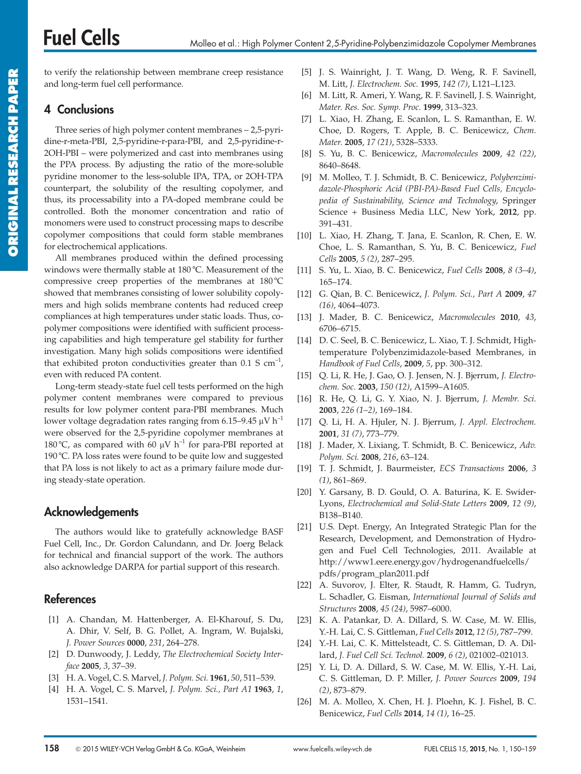to verify the relationship between membrane creep resistance and long-term fuel cell performance.

# 4 Conclusions

Three series of high polymer content membranes – 2,5-pyridine-r-meta-PBI, 2,5-pyridine-r-para-PBI, and 2,5-pyridine-r-2OH-PBI – were polymerized and cast into membranes using the PPA process. By adjusting the ratio of the more-soluble pyridine monomer to the less-soluble IPA, TPA, or 2OH-TPA counterpart, the solubility of the resulting copolymer, and thus, its processability into a PA-doped membrane could be controlled. Both the monomer concentration and ratio of monomers were used to construct processing maps to describe copolymer compositions that could form stable membranes for electrochemical applications.

All membranes produced within the defined processing windows were thermally stable at 180 °C. Measurement of the compressive creep properties of the membranes at  $180^{\circ}$ C showed that membranes consisting of lower solubility copolymers and high solids membrane contents had reduced creep compliances at high temperatures under static loads. Thus, copolymer compositions were identified with sufficient processing capabilities and high temperature gel stability for further investigation. Many high solids compositions were identified that exhibited proton conductivities greater than  $0.1 S \text{ cm}^{-1}$ , even with reduced PA content.

Long-term steady-state fuel cell tests performed on the high polymer content membranes were compared to previous results for low polymer content para-PBI membranes. Much lower voltage degradation rates ranging from 6.15–9.45  $\mu$ V h<sup>-1</sup> were observed for the 2,5-pyridine copolymer membranes at 180 °C, as compared with 60  $\mu$ V h<sup>-1</sup> for para-PBI reported at 190 °C. PA loss rates were found to be quite low and suggested that PA loss is not likely to act as a primary failure mode during steady-state operation.

# Acknowledgements

The authors would like to gratefully acknowledge BASF Fuel Cell, Inc., Dr. Gordon Calundann, and Dr. Joerg Belack for technical and financial support of the work. The authors also acknowledge DARPA for partial support of this research.

# References

- [1] A. Chandan, M. Hattenberger, A. El-Kharouf, S. Du, A. Dhir, V. Self, B. G. Pollet, A. Ingram, W. Bujalski, J. Power Sources 0000, 231, 264–278.
- [2] D. Dunwoody, J. Leddy, The Electrochemical Society Interface 2005, 3, 37–39.
- [3] H. A. Vogel, C. S. Marvel, J. Polym. Sci. 1961, 50, 511–539.
- [4] H. A. Vogel, C. S. Marvel, J. Polym. Sci., Part A1 1963, 1, 1531–1541.
- [5] J. S. Wainright, J. T. Wang, D. Weng, R. F. Savinell, M. Litt, J. Electrochem. Soc. 1995, 142 (7), L121–L123.
- [6] M. Litt, R. Ameri, Y. Wang, R. F. Savinell, J. S. Wainright, Mater. Res. Soc. Symp. Proc. 1999, 313–323.
- [7] L. Xiao, H. Zhang, E. Scanlon, L. S. Ramanthan, E. W. Choe, D. Rogers, T. Apple, B. C. Benicewicz, Chem. Mater. 2005, 17 (21), 5328–5333.
- [8] S. Yu, B. C. Benicewicz, Macromolecules 2009, 42 (22), 8640–8648.
- [9] M. Molleo, T. J. Schmidt, B. C. Benicewicz, Polybenzimidazole-Phosphoric Acid (PBI-PA)-Based Fuel Cells, Encyclopedia of Sustainability, Science and Technology, Springer Science + Business Media LLC, New York, 2012, pp. 391–431.
- [10] L. Xiao, H. Zhang, T. Jana, E. Scanlon, R. Chen, E. W. Choe, L. S. Ramanthan, S. Yu, B. C. Benicewicz, Fuel Cells 2005, 5 (2), 287–295.
- [11] S. Yu, L. Xiao, B. C. Benicewicz, Fuel Cells 2008, 8 (3–4), 165–174.
- [12] G. Qian, B. C. Benicewicz, J. Polym. Sci., Part A 2009, 47 (16), 4064–4073.
- [13] J. Mader, B. C. Benicewicz, Macromolecules 2010, 43, 6706–6715.
- [14] D. C. Seel, B. C. Benicewicz, L. Xiao, T. J. Schmidt, Hightemperature Polybenzimidazole-based Membranes, in Handbook of Fuel Cells, 2009, 5, pp. 300–312.
- [15] Q. Li, R. He, J. Gao, O. J. Jensen, N. J. Bjerrum, J. Electrochem. Soc. 2003, 150 (12), A1599-A1605.
- [16] R. He, Q. Li, G. Y. Xiao, N. J. Bjerrum, J. Membr. Sci. 2003, 226 (1–2), 169–184.
- [17] Q. Li, H. A. Hjuler, N. J. Bjerrum, J. Appl. Electrochem. 2001, 31 (7), 773–779.
- [18] J. Mader, X. Lixiang, T. Schmidt, B. C. Benicewicz, Adv. Polym. Sci. 2008, 216, 63–124.
- [19] T. J. Schmidt, J. Baurmeister, ECS Transactions 2006, 3 (1), 861–869.
- [20] Y. Garsany, B. D. Gould, O. A. Baturina, K. E. Swider-Lyons, Electrochemical and Solid-State Letters 2009, 12 (9), B138–B140.
- [21] U.S. Dept. Energy, An Integrated Strategic Plan for the Research, Development, and Demonstration of Hydrogen and Fuel Cell Technologies, 2011. Available at http://www1.eere.energy.gov/hydrogenandfuelcells/ pdfs/program\_plan2011.pdf
- [22] A. Suvorov, J. Elter, R. Staudt, R. Hamm, G. Tudryn, L. Schadler, G. Eisman, International Journal of Solids and Structures 2008, 45 (24), 5987–6000.
- [23] K. A. Patankar, D. A. Dillard, S. W. Case, M. W. Ellis, Y.-H. Lai, C. S. Gittleman, Fuel Cells 2012, 12 (5), 787–799.
- [24] Y.-H. Lai, C. K. Mittelsteadt, C. S. Gittleman, D. A. Dillard, J. Fuel Cell Sci. Technol. 2009, 6 (2), 021002–021013.
- [25] Y. Li, D. A. Dillard, S. W. Case, M. W. Ellis, Y.-H. Lai, C. S. Gittleman, D. P. Miller, J. Power Sources 2009, 194 (2), 873–879.
- [26] M. A. Molleo, X. Chen, H. J. Ploehn, K. J. Fishel, B. C. Benicewicz, Fuel Cells 2014, 14 (1), 16–25.